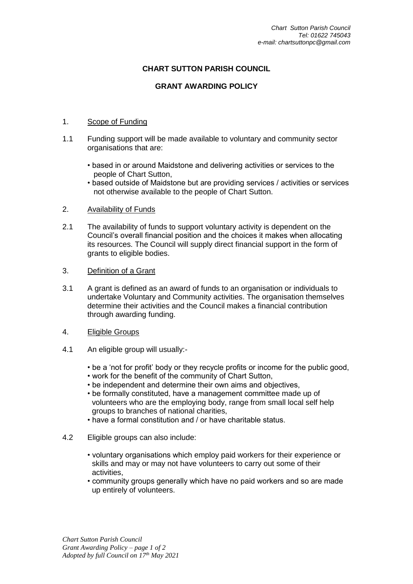## **CHART SUTTON PARISH COUNCIL**

## **GRANT AWARDING POLICY**

## 1. Scope of Funding

- 1.1 Funding support will be made available to voluntary and community sector organisations that are:
	- based in or around Maidstone and delivering activities or services to the people of Chart Sutton,
	- based outside of Maidstone but are providing services / activities or services not otherwise available to the people of Chart Sutton.
- 2. Availability of Funds
- 2.1 The availability of funds to support voluntary activity is dependent on the Council's overall financial position and the choices it makes when allocating its resources. The Council will supply direct financial support in the form of grants to eligible bodies.
- 3. Definition of a Grant
- 3.1 A grant is defined as an award of funds to an organisation or individuals to undertake Voluntary and Community activities. The organisation themselves determine their activities and the Council makes a financial contribution through awarding funding.
- 4. Eligible Groups
- 4.1 An eligible group will usually:-
	- be a 'not for profit' body or they recycle profits or income for the public good,
	- work for the benefit of the community of Chart Sutton,
	- be independent and determine their own aims and objectives,
	- be formally constituted, have a management committee made up of volunteers who are the employing body, range from small local self help groups to branches of national charities,
	- have a formal constitution and / or have charitable status.
- 4.2 Eligible groups can also include:
	- voluntary organisations which employ paid workers for their experience or skills and may or may not have volunteers to carry out some of their activities,
	- community groups generally which have no paid workers and so are made up entirely of volunteers.